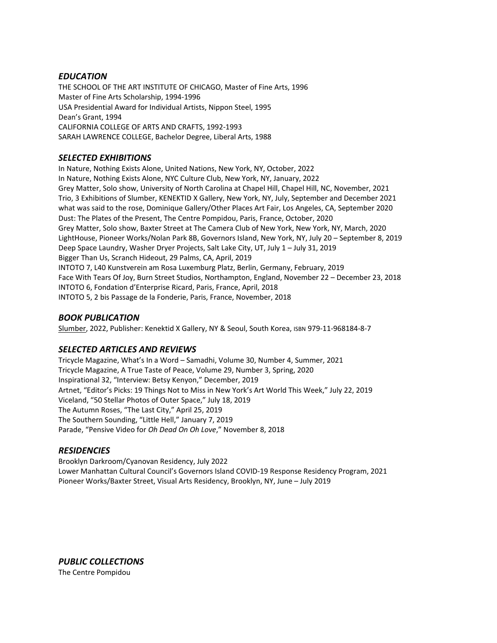### *EDUCATION*

THE SCHOOL OF THE ART INSTITUTE OF CHICAGO, Master of Fine Arts, 1996 Master of Fine Arts Scholarship, 1994-1996 USA Presidential Award for Individual Artists, Nippon Steel, 1995 Dean's Grant, 1994 CALIFORNIA COLLEGE OF ARTS AND CRAFTS, 1992-1993 SARAH LAWRENCE COLLEGE, Bachelor Degree, Liberal Arts, 1988

# *SELECTED EXHIBITIONS*

In Nature, Nothing Exists Alone, United Nations, New York, NY, October, 2022 In Nature, Nothing Exists Alone, NYC Culture Club, New York, NY, January, 2022 Grey Matter, Solo show, University of North Carolina at Chapel Hill, Chapel Hill, NC, November, 2021 Trio, 3 Exhibitions of Slumber, KENEKTID X Gallery, New York, NY, July, September and December 2021 what was said to the rose, Dominique Gallery/Other Places Art Fair, Los Angeles, CA, September 2020 Dust: The Plates of the Present, The Centre Pompidou, Paris, France, October, 2020 Grey Matter, Solo show, Baxter Street at The Camera Club of New York, New York, NY, March, 2020 LightHouse, Pioneer Works/Nolan Park 8B, Governors Island, New York, NY, July 20 – September 8, 2019 Deep Space Laundry, Washer Dryer Projects, Salt Lake City, UT, July 1 – July 31, 2019 Bigger Than Us, Scranch Hideout, 29 Palms, CA, April, 2019 INTOTO 7, L40 Kunstverein am Rosa Luxemburg Platz, Berlin, Germany, February, 2019 Face With Tears Of Joy, Burn Street Studios, Northampton, England, November 22 – December 23, 2018 INTOTO 6, Fondation d'Enterprise Ricard, Paris, France, April, 2018 INTOTO 5, 2 bis Passage de la Fonderie, Paris, France, November, 2018

### *BOOK PUBLICATION*

Slumber, 2022, Publisher: Kenektid X Gallery, NY & Seoul, South Korea, ISBN 979-11-968184-8-7

### *SELECTED ARTICLES AND REVIEWS*

Tricycle Magazine, What's In a Word – Samadhi, Volume 30, Number 4, Summer, 2021 Tricycle Magazine, A True Taste of Peace, Volume 29, Number 3, Spring, 2020 Inspirational 32, "Interview: Betsy Kenyon," December, 2019 Artnet, "Editor's Picks: 19 Things Not to Miss in New York's Art World This Week," July 22, 2019 Viceland, "50 Stellar Photos of Outer Space," July 18, 2019 The Autumn Roses, "The Last City," April 25, 2019 The Southern Sounding, "Little Hell," January 7, 2019 Parade, "Pensive Video for *Oh Dead On Oh Love*," November 8, 2018

### *RESIDENCIES*

Brooklyn Darkroom/Cyanovan Residency, July 2022 Lower Manhattan Cultural Council's Governors Island COVID-19 Response Residency Program, 2021 Pioneer Works/Baxter Street, Visual Arts Residency, Brooklyn, NY, June – July 2019

*PUBLIC COLLECTIONS* The Centre Pompidou